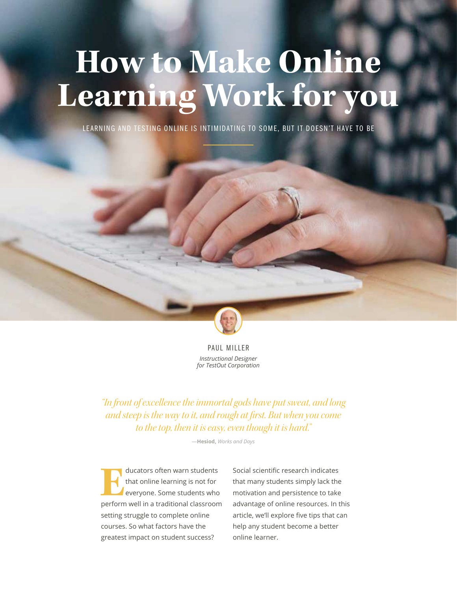# **How to Make Online Learning Work for you**

LEARNING AND TESTING ONLINE IS INTIMIDATING TO SOME, BUT IT DOESN'T HAVE TO BE



PAUL MILLER *Instructional Designer for TestOut Corporation*

*"In front of excellence the immortal gods have put sweat, and long and steep is the way to it, and rough at first. But when you come to the top, then it is easy, even though it is hard."*

―**Hesiod,** *Works and Days*

**Educators often warn students**<br>
that online learning is not for<br>
everyone. Some students who<br>
perform well in a traditional classroom that online learning is not for everyone. Some students who setting struggle to complete online courses. So what factors have the greatest impact on student success?

Social scientific research indicates that many students simply lack the motivation and persistence to take advantage of online resources. In this article, we'll explore five tips that can help any student become a better online learner.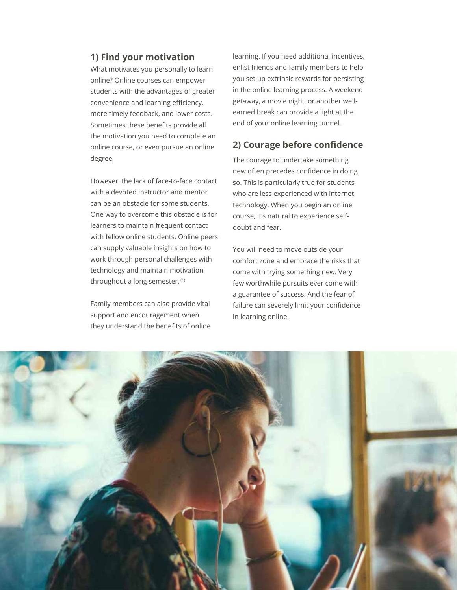#### **1) Find your motivation**

What motivates you personally to learn online? Online courses can empower students with the advantages of greater convenience and learning efficiency, more timely feedback, and lower costs. Sometimes these benefits provide all the motivation you need to complete an online course, or even pursue an online degree.

However, the lack of face-to-face contact with a devoted instructor and mentor can be an obstacle for some students. One way to overcome this obstacle is for learners to maintain frequent contact with fellow online students. Online peers can supply valuable insights on how to work through personal challenges with technology and maintain motivation throughout a long semester. (1)

Family members can also provide vital support and encouragement when they understand the benefits of online

learning. If you need additional incentives, enlist friends and family members to help you set up extrinsic rewards for persisting in the online learning process. A weekend getaway, a movie night, or another wellearned break can provide a light at the end of your online learning tunnel.

#### **2) Courage before confidence**

The courage to undertake something new often precedes confidence in doing so. This is particularly true for students who are less experienced with internet technology. When you begin an online course, it's natural to experience selfdoubt and fear.

You will need to move outside your comfort zone and embrace the risks that come with trying something new. Very few worthwhile pursuits ever come with a guarantee of success. And the fear of failure can severely limit your confidence in learning online.

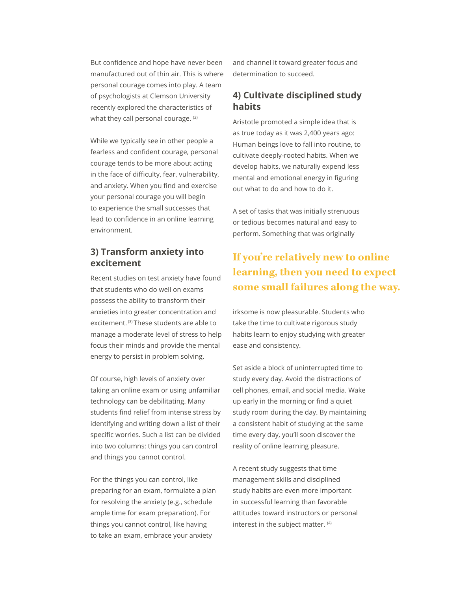But confidence and hope have never been manufactured out of thin air. This is where personal courage comes into play. A team of psychologists at Clemson University recently explored the characteristics of what they call personal courage. (2)

While we typically see in other people a fearless and confident courage, personal courage tends to be more about acting in the face of difficulty, fear, vulnerability, and anxiety. When you find and exercise your personal courage you will begin to experience the small successes that lead to confidence in an online learning environment.

#### **3) Transform anxiety into excitement**

Recent studies on test anxiety have found that students who do well on exams possess the ability to transform their anxieties into greater concentration and excitement. (3) These students are able to manage a moderate level of stress to help focus their minds and provide the mental energy to persist in problem solving.

Of course, high levels of anxiety over taking an online exam or using unfamiliar technology can be debilitating. Many students find relief from intense stress by identifying and writing down a list of their specific worries. Such a list can be divided into two columns: things you can control and things you cannot control.

For the things you can control, like preparing for an exam, formulate a plan for resolving the anxiety (e.g., schedule ample time for exam preparation). For things you cannot control, like having to take an exam, embrace your anxiety

and channel it toward greater focus and determination to succeed.

#### **4) Cultivate disciplined study habits**

Aristotle promoted a simple idea that is as true today as it was 2,400 years ago: Human beings love to fall into routine, to cultivate deeply-rooted habits. When we develop habits, we naturally expend less mental and emotional energy in figuring out what to do and how to do it.

A set of tasks that was initially strenuous or tedious becomes natural and easy to perform. Something that was originally

## **If you're relatively new to online learning, then you need to expect some small failures along the way.**

irksome is now pleasurable. Students who take the time to cultivate rigorous study habits learn to enjoy studying with greater ease and consistency.

Set aside a block of uninterrupted time to study every day. Avoid the distractions of cell phones, email, and social media. Wake up early in the morning or find a quiet study room during the day. By maintaining a consistent habit of studying at the same time every day, you'll soon discover the reality of online learning pleasure.

A recent study suggests that time management skills and disciplined study habits are even more important in successful learning than favorable attitudes toward instructors or personal interest in the subject matter. <sup>(4)</sup>